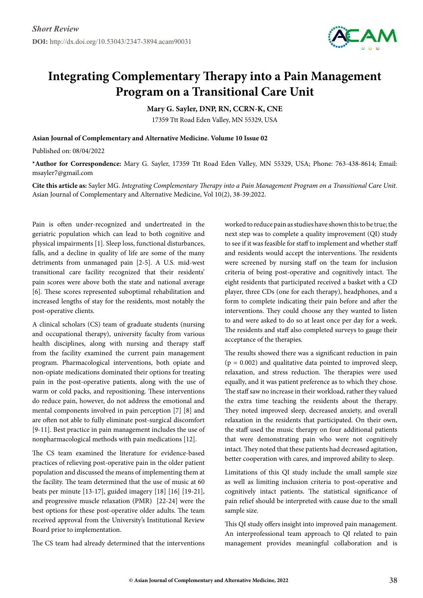

## **Integrating Complementary Therapy into a Pain Management Program on a Transitional Care Unit**

**Mary G. Sayler, DNP, RN, CCRN-K, CNE**

17359 Ttt Road Eden Valley, MN 55329, USA

**Asian Journal of Complementary and Alternative Medicine. Volume 10 Issue 02**

Published on: 08/04/2022

**\*Author for Correspondence:** Mary G. Sayler, 17359 Ttt Road Eden Valley, MN 55329, USA; Phone: 763-438-8614; Email: msayler7@gmail.com

**Cite this article as:** Sayler MG. *Integrating Complementary Therapy into a Pain Management Program on a Transitional Care Unit.* Asian Journal of Complementary and Alternative Medicine, Vol 10(2), 38-39:2022.

Pain is often under-recognized and undertreated in the geriatric population which can lead to both cognitive and physical impairments [1]. Sleep loss, functional disturbances, falls, and a decline in quality of life are some of the many detriments from unmanaged pain [2-5]. A U.S. mid-west transitional care facility recognized that their residents' pain scores were above both the state and national average [6]. These scores represented suboptimal rehabilitation and increased lengths of stay for the residents, most notably the post-operative clients.

A clinical scholars (CS) team of graduate students (nursing and occupational therapy), university faculty from various health disciplines, along with nursing and therapy staff from the facility examined the current pain management program. Pharmacological interventions, both opiate and non-opiate medications dominated their options for treating pain in the post-operative patients, along with the use of warm or cold packs, and repositioning. These interventions do reduce pain, however, do not address the emotional and mental components involved in pain perception [7] [8] and are often not able to fully eliminate post-surgical discomfort [9-11]. Best practice in pain management includes the use of nonpharmacological methods with pain medications [12].

The CS team examined the literature for evidence-based practices of relieving post-operative pain in the older patient population and discussed the means of implementing them at the facility. The team determined that the use of music at 60 beats per minute [13-17], guided imagery [18] [16] [19-21], and progressive muscle relaxation (PMR) [22-24] were the best options for these post-operative older adults. The team received approval from the University's Institutional Review Board prior to implementation.

The CS team had already determined that the interventions

worked to reduce pain as studies have shown this to be true; the next step was to complete a quality improvement (QI) study to see if it was feasible for staff to implement and whether staff and residents would accept the interventions. The residents were screened by nursing staff on the team for inclusion criteria of being post-operative and cognitively intact. The eight residents that participated received a basket with a CD player, three CDs (one for each therapy), headphones, and a form to complete indicating their pain before and after the interventions. They could choose any they wanted to listen to and were asked to do so at least once per day for a week. The residents and staff also completed surveys to gauge their acceptance of the therapies.

The results showed there was a significant reduction in pain  $(p = 0.002)$  and qualitative data pointed to improved sleep, relaxation, and stress reduction. The therapies were used equally, and it was patient preference as to which they chose. The staff saw no increase in their workload, rather they valued the extra time teaching the residents about the therapy. They noted improved sleep, decreased anxiety, and overall relaxation in the residents that participated. On their own, the staff used the music therapy on four additional patients that were demonstrating pain who were not cognitively intact. They noted that these patients had decreased agitation, better cooperation with cares, and improved ability to sleep.

Limitations of this QI study include the small sample size as well as limiting inclusion criteria to post-operative and cognitively intact patients. The statistical significance of pain relief should be interpreted with cause due to the small sample size.

This QI study offers insight into improved pain management. An interprofessional team approach to QI related to pain management provides meaningful collaboration and is